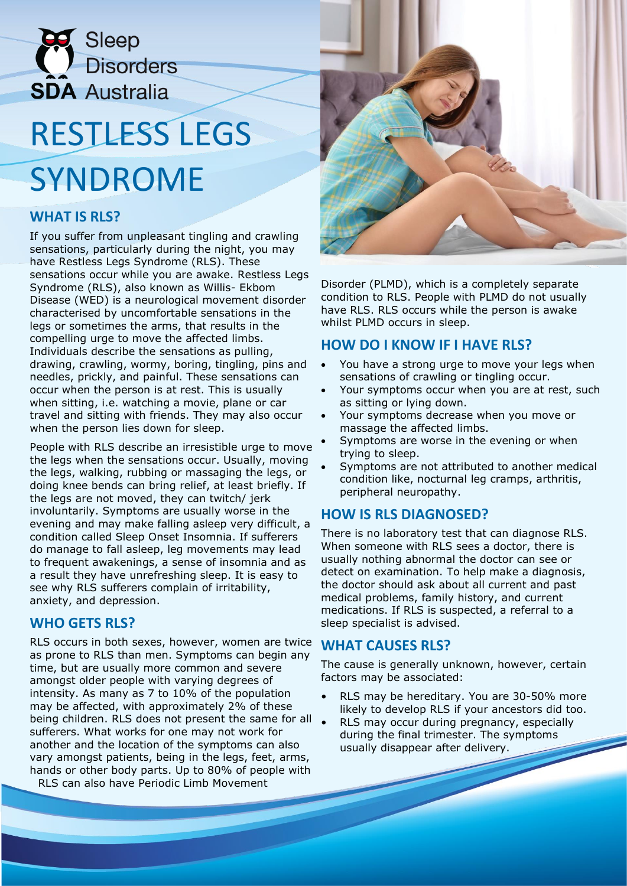

# RESTLESS LEGS SYNDROME

# **WHAT IS RLS?**

If you suffer from unpleasant tingling and crawling sensations, particularly during the night, you may have Restless Legs Syndrome (RLS). These sensations occur while you are awake. Restless Legs Syndrome (RLS), also known as Willis- Ekbom Disease (WED) is a neurological movement disorder characterised by uncomfortable sensations in the legs or sometimes the arms, that results in the compelling urge to move the affected limbs. Individuals describe the sensations as pulling, drawing, crawling, wormy, boring, tingling, pins and needles, prickly, and painful. These sensations can occur when the person is at rest. This is usually when sitting, i.e. watching a movie, plane or car travel and sitting with friends. They may also occur when the person lies down for sleep.

People with RLS describe an irresistible urge to move the legs when the sensations occur. Usually, moving the legs, walking, rubbing or massaging the legs, or doing knee bends can bring relief, at least briefly. If the legs are not moved, they can twitch/ jerk involuntarily. Symptoms are usually worse in the evening and may make falling asleep very difficult, a condition called Sleep Onset Insomnia. If sufferers do manage to fall asleep, leg movements may lead to frequent awakenings, a sense of insomnia and as a result they have unrefreshing sleep. It is easy to see why RLS sufferers complain of irritability, anxiety, and depression.

#### **WHO GETS RLS?**

RLS occurs in both sexes, however, women are twice as prone to RLS than men. Symptoms can begin any time, but are usually more common and severe amongst older people with varying degrees of intensity. As many as 7 to 10% of the population may be affected, with approximately 2% of these being children. RLS does not present the same for all sufferers. What works for one may not work for another and the location of the symptoms can also vary amongst patients, being in the legs, feet, arms, hands or other body parts. Up to 80% of people with RLS can also have Periodic Limb Movement

Disorder (PLMD), which is a completely separate condition to RLS. People with PLMD do not usually have RLS. RLS occurs while the person is awake whilst PLMD occurs in sleep.

### **HOW DO I KNOW IF I HAVE RLS?**

- You have a strong urge to move your legs when sensations of crawling or tingling occur.
- Your symptoms occur when you are at rest, such as sitting or lying down.
- Your symptoms decrease when you move or massage the affected limbs.
- Symptoms are worse in the evening or when trying to sleep.
- Symptoms are not attributed to another medical condition like, nocturnal leg cramps, arthritis, peripheral neuropathy.

# **HOW IS RLS DIAGNOSED?**

There is no laboratory test that can diagnose RLS. When someone with RLS sees a doctor, there is usually nothing abnormal the doctor can see or detect on examination. To help make a diagnosis, the doctor should ask about all current and past medical problems, family history, and current medications. If RLS is suspected, a referral to a sleep specialist is advised.

#### **WHAT CAUSES RLS?**

The cause is generally unknown, however, certain factors may be associated:

- RLS may be hereditary. You are 30-50% more likely to develop RLS if your ancestors did too.
- RLS may occur during pregnancy, especially during the final trimester. The symptoms usually disappear after delivery.